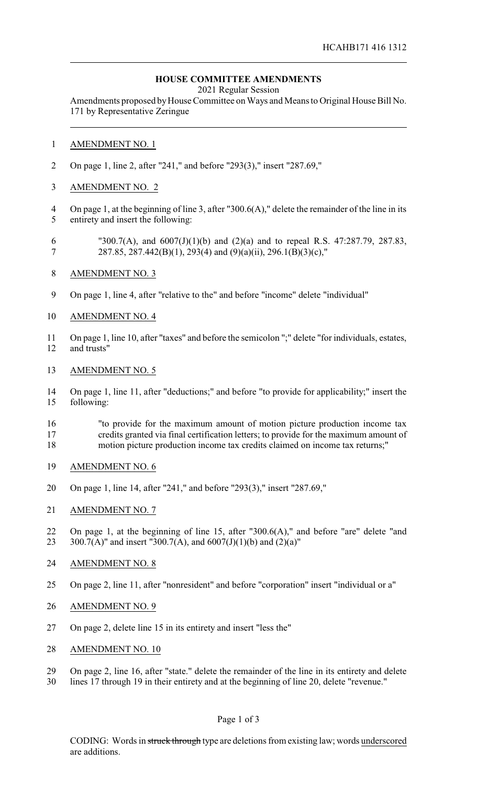## **HOUSE COMMITTEE AMENDMENTS**

2021 Regular Session

Amendments proposed by House Committee on Ways and Means to Original House Bill No. 171 by Representative Zeringue

## AMENDMENT NO. 1

- On page 1, line 2, after "241," and before "293(3)," insert "287.69,"
- AMENDMENT NO. 2
- On page 1, at the beginning of line 3, after "300.6(A)," delete the remainder of the line in its entirety and insert the following:
- "300.7(A), and 6007(J)(1)(b) and (2)(a) and to repeal R.S. 47:287.79, 287.83, 287.85, 287.442(B)(1), 293(4) and (9)(a)(ii), 296.1(B)(3)(c),"
- AMENDMENT NO. 3
- On page 1, line 4, after "relative to the" and before "income" delete "individual"
- AMENDMENT NO. 4
- On page 1, line 10, after "taxes" and before the semicolon ";" delete "for individuals, estates, and trusts"
- AMENDMENT NO. 5
- On page 1, line 11, after "deductions;" and before "to provide for applicability;" insert the following:
- "to provide for the maximum amount of motion picture production income tax credits granted via final certification letters; to provide for the maximum amount of
- motion picture production income tax credits claimed on income tax returns;"
- AMENDMENT NO. 6
- On page 1, line 14, after "241," and before "293(3)," insert "287.69,"
- AMENDMENT NO. 7
- On page 1, at the beginning of line 15, after "300.6(A)," and before "are" delete "and 23 300.7(A)" and insert "300.7(A), and  $6007(J)(1)(b)$  and  $(2)(a)$ "
- AMENDMENT NO. 8
- On page 2, line 11, after "nonresident" and before "corporation" insert "individual or a"
- AMENDMENT NO. 9
- On page 2, delete line 15 in its entirety and insert "less the"
- AMENDMENT NO. 10
- On page 2, line 16, after "state." delete the remainder of the line in its entirety and delete
- lines 17 through 19 in their entirety and at the beginning of line 20, delete "revenue."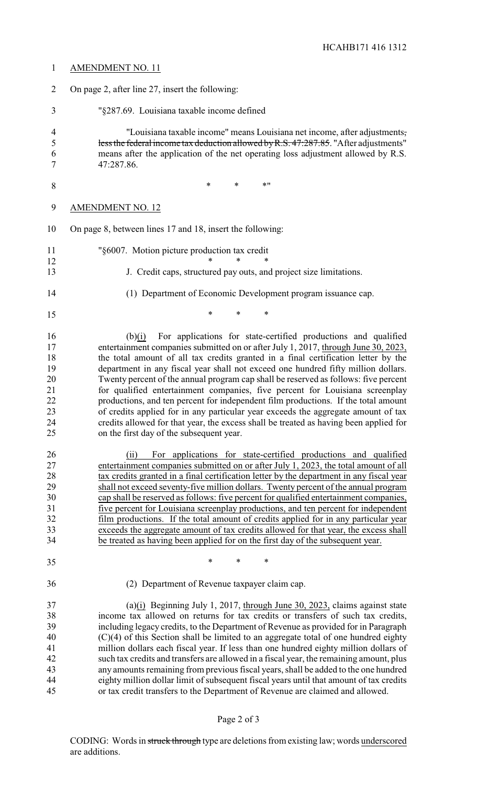| $\mathbf{1}$                                             | <b>AMENDMENT NO. 11</b>                                                                                                                                                                                                                                                                                                                                                                                                                                                                                                                                                                                                                                                                                                                                                                                                          |
|----------------------------------------------------------|----------------------------------------------------------------------------------------------------------------------------------------------------------------------------------------------------------------------------------------------------------------------------------------------------------------------------------------------------------------------------------------------------------------------------------------------------------------------------------------------------------------------------------------------------------------------------------------------------------------------------------------------------------------------------------------------------------------------------------------------------------------------------------------------------------------------------------|
| $\overline{2}$                                           | On page 2, after line 27, insert the following:                                                                                                                                                                                                                                                                                                                                                                                                                                                                                                                                                                                                                                                                                                                                                                                  |
| 3                                                        | "§287.69. Louisiana taxable income defined                                                                                                                                                                                                                                                                                                                                                                                                                                                                                                                                                                                                                                                                                                                                                                                       |
| $\overline{4}$<br>5<br>6<br>7                            | "Louisiana taxable income" means Louisiana net income, after adjustments,<br>less the federal income tax deduction allowed by R.S. 47:287.85. "After adjustments"<br>means after the application of the net operating loss adjustment allowed by R.S.<br>47:287.86.                                                                                                                                                                                                                                                                                                                                                                                                                                                                                                                                                              |
| 8                                                        | $\ast$<br>$\ast$<br>$*$ "                                                                                                                                                                                                                                                                                                                                                                                                                                                                                                                                                                                                                                                                                                                                                                                                        |
| 9                                                        | <b>AMENDMENT NO. 12</b>                                                                                                                                                                                                                                                                                                                                                                                                                                                                                                                                                                                                                                                                                                                                                                                                          |
| 10                                                       | On page 8, between lines 17 and 18, insert the following:                                                                                                                                                                                                                                                                                                                                                                                                                                                                                                                                                                                                                                                                                                                                                                        |
| 11<br>12                                                 | "§6007. Motion picture production tax credit                                                                                                                                                                                                                                                                                                                                                                                                                                                                                                                                                                                                                                                                                                                                                                                     |
| 13                                                       | J. Credit caps, structured pay outs, and project size limitations.                                                                                                                                                                                                                                                                                                                                                                                                                                                                                                                                                                                                                                                                                                                                                               |
| 14                                                       | (1) Department of Economic Development program issuance cap.                                                                                                                                                                                                                                                                                                                                                                                                                                                                                                                                                                                                                                                                                                                                                                     |
| 15                                                       | *<br>$\ast$<br>∗                                                                                                                                                                                                                                                                                                                                                                                                                                                                                                                                                                                                                                                                                                                                                                                                                 |
| 16<br>17<br>18<br>19<br>20<br>21<br>22<br>23<br>24<br>25 | For applications for state-certified productions and qualified<br>(b)(i)<br>entertainment companies submitted on or after July 1, 2017, through June 30, 2023,<br>the total amount of all tax credits granted in a final certification letter by the<br>department in any fiscal year shall not exceed one hundred fifty million dollars.<br>Twenty percent of the annual program cap shall be reserved as follows: five percent<br>for qualified entertainment companies, five percent for Louisiana screenplay<br>productions, and ten percent for independent film productions. If the total amount<br>of credits applied for in any particular year exceeds the aggregate amount of tax<br>credits allowed for that year, the excess shall be treated as having been applied for<br>on the first day of the subsequent year. |
| 26<br>27<br>28<br>29<br>30<br>31<br>32<br>33<br>34       | For applications for state-certified productions and qualified<br>(ii)<br>entertainment companies submitted on or after July 1, 2023, the total amount of all<br>tax credits granted in a final certification letter by the department in any fiscal year<br>shall not exceed seventy-five million dollars. Twenty percent of the annual program<br>cap shall be reserved as follows: five percent for qualified entertainment companies,<br>five percent for Louisiana screenplay productions, and ten percent for independent<br>film productions. If the total amount of credits applied for in any particular year<br>exceeds the aggregate amount of tax credits allowed for that year, the excess shall<br>be treated as having been applied for on the first day of the subsequent year.                                  |
| 35                                                       | $\ast$<br>*<br>*                                                                                                                                                                                                                                                                                                                                                                                                                                                                                                                                                                                                                                                                                                                                                                                                                 |
| 36                                                       | (2) Department of Revenue taxpayer claim cap.                                                                                                                                                                                                                                                                                                                                                                                                                                                                                                                                                                                                                                                                                                                                                                                    |
| 37<br>38<br>39<br>40<br>41<br>42<br>43<br>44<br>45       | (a) $(i)$ Beginning July 1, 2017, through June 30, 2023, claims against state<br>income tax allowed on returns for tax credits or transfers of such tax credits,<br>including legacy credits, to the Department of Revenue as provided for in Paragraph<br>$(C)(4)$ of this Section shall be limited to an aggregate total of one hundred eighty<br>million dollars each fiscal year. If less than one hundred eighty million dollars of<br>such tax credits and transfers are allowed in a fiscal year, the remaining amount, plus<br>any amounts remaining from previous fiscal years, shall be added to the one hundred<br>eighty million dollar limit of subsequent fiscal years until that amount of tax credits<br>or tax credit transfers to the Department of Revenue are claimed and allowed.                           |